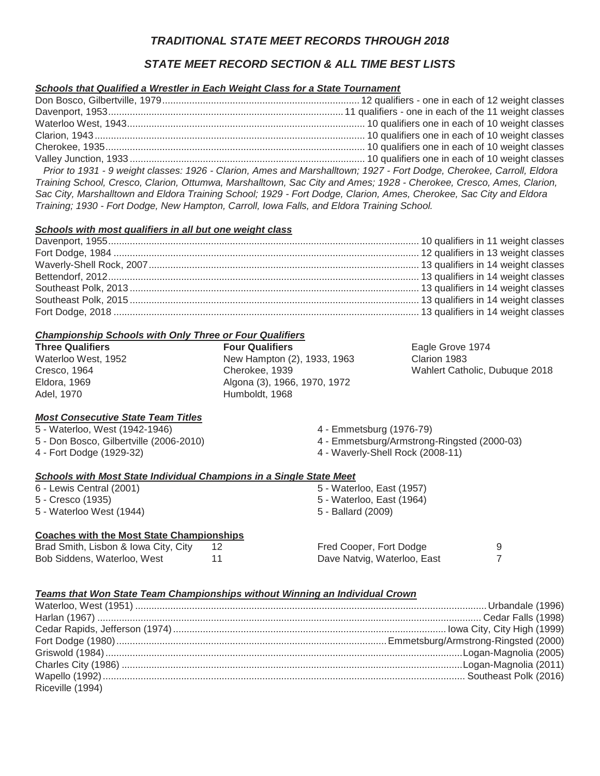# *TRADITIONAL STATE MEET RECORDS THROUGH 2018*

# *STATE MEET RECORD SECTION & ALL TIME BEST LISTS*

## *Schools that Qualified a Wrestler in Each Weight Class for a State Tournament*

Don Bosco, Gilbertville, 1979......................................................................... 12 qualifiers - one in each of 12 weight classes Davenport, 1953....................................................................................... 11 qualifiers - one in each of the 11 weight classes Waterloo West, 1943........................................................................................ 10 qualifiers one in each of 10 weight classes Clarion, 1943.................................................................................................... 10 qualifiers one in each of 10 weight classes Cherokee, 1935................................................................................................ 10 qualifiers one in each of 10 weight classes Valley Junction, 1933 ....................................................................................... 10 qualifiers one in each of 10 weight classes  *Prior to 1931 - 9 weight classes: 1926 - Clarion, Ames and Marshalltown; 1927 - Fort Dodge, Cherokee, Carroll, Eldora Training School, Cresco, Clarion, Ottumwa, Marshalltown, Sac City and Ames; 1928 - Cherokee, Cresco, Ames, Clarion, Sac City, Marshalltown and Eldora Training School; 1929 - Fort Dodge, Clarion, Ames, Cherokee, Sac City and Eldora Training; 1930 - Fort Dodge, New Hampton, Carroll, Iowa Falls, and Eldora Training School.*

#### *Schools with most qualifiers in all but one weight class*

#### *Championship Schools with Only Three or Four Qualifiers*

| <b>Three Qualifiers</b> | <b>Four Qualifiers</b>       | Eagle Grove 1974               |
|-------------------------|------------------------------|--------------------------------|
| Waterloo West, 1952     | New Hampton (2), 1933, 1963  | Clarion 1983                   |
| Cresco, 1964            | Cherokee, 1939               | Wahlert Catholic, Dubuque 2018 |
| Eldora, 1969            | Algona (3), 1966, 1970, 1972 |                                |
| Adel. 1970              | Humboldt, 1968               |                                |

## *Most Consecutive State Team Titles*

|  | 5 - Waterloo, West (1942-1946) |  |                                        |
|--|--------------------------------|--|----------------------------------------|
|  |                                |  | 5 - Don Bosco, Gilbertville (2006-2014 |

5 - Don Bosco, Gilbertville (2006-2010) 4 - Fort Dodge (1929-32)

- 4 Emmetsburg (1976-79)
- 4 Emmetsburg/Armstrong-Ringsted (2000-03)
- 4 Waverly-Shell Rock (2008-11)

#### *Schools with Most State Individual Champions in a Single State Meet*

| 6 - Lewis Central (2001) | 5 - Waterloo, East (1957) |
|--------------------------|---------------------------|
| 5 - Cresco (1935)        | 5 - Waterloo, East (1964) |
| 5 - Waterloo West (1944) | 5 - Ballard (2009)        |

#### **Coaches with the Most State Championships**

| Brad Smith, Lisbon & Iowa City, City | 12 |  |
|--------------------------------------|----|--|
| Bob Siddens, Waterloo, West          | 11 |  |

Fred Cooper, Fort Dodge 9 Dave Natvig, Waterloo, East 7

## *Teams that Won State Team Championships without Winning an Individual Crown*

| Riceville (1994) |  |
|------------------|--|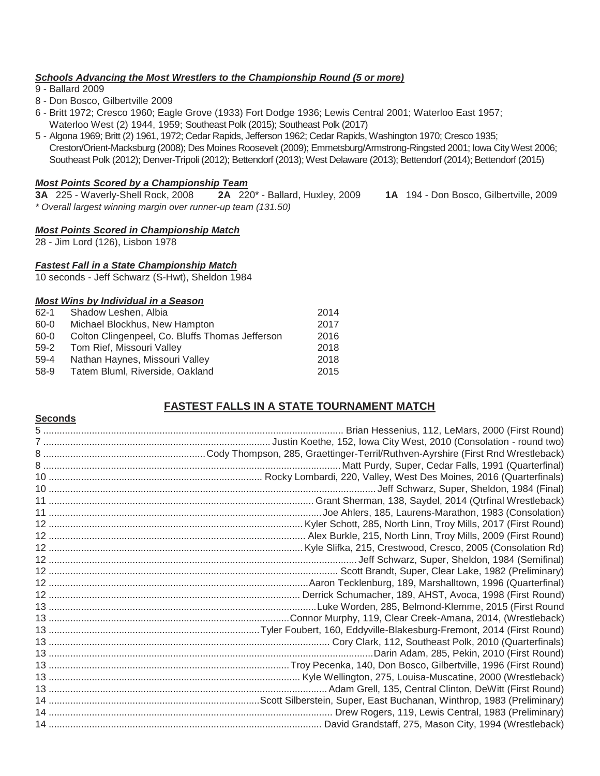## *Schools Advancing the Most Wrestlers to the Championship Round (5 or more)*

9 - Ballard 2009

**Seconds**

- 8 Don Bosco, Gilbertville 2009
- 6 Britt 1972; Cresco 1960; Eagle Grove (1933) Fort Dodge 1936; Lewis Central 2001; Waterloo East 1957; Waterloo West (2) 1944, 1959; Southeast Polk (2015); Southeast Polk (2017)
- 5 Algona 1969; Britt (2) 1961, 1972; Cedar Rapids, Jefferson 1962; Cedar Rapids, Washington 1970; Cresco 1935; Creston/Orient-Macksburg (2008); Des Moines Roosevelt (2009); Emmetsburg/Armstrong-Ringsted 2001; Iowa City West 2006; Southeast Polk (2012); Denver-Tripoli (2012); Bettendorf (2013); West Delaware (2013); Bettendorf (2014); Bettendorf (2015)

## *Most Points Scored by a Championship Team*

**3A** 225 - Waverly-Shell Rock, 2008 **2A** 220\* - Ballard, Huxley, 2009 **1A** 194 - Don Bosco, Gilbertville, 2009 *\* Overall largest winning margin over runner-up team (131.50)*

## *Most Points Scored in Championship Match*

28 - Jim Lord (126), Lisbon 1978

## *Fastest Fall in a State Championship Match*

10 seconds - Jeff Schwarz (S-Hwt), Sheldon 1984

## *Most Wins by Individual in a Season*

| $62 - 1$ | Shadow Leshen, Albia                            | 2014 |
|----------|-------------------------------------------------|------|
| 60-0     | Michael Blockhus, New Hampton                   | 2017 |
| 60-0     | Colton Clingenpeel, Co. Bluffs Thomas Jefferson | 2016 |
| $59-2$   | Tom Rief, Missouri Valley                       | 2018 |
| $59-4$   | Nathan Haynes, Missouri Valley                  | 2018 |
| 58-9     | Tatem Bluml, Riverside, Oakland                 | 2015 |
|          |                                                 |      |

# **FASTEST FALLS IN A STATE TOURNAMENT MATCH**

| Brian Hessenius, 112, LeMars, 2000 (First Round)    |
|-----------------------------------------------------|
|                                                     |
|                                                     |
|                                                     |
|                                                     |
|                                                     |
|                                                     |
|                                                     |
|                                                     |
|                                                     |
|                                                     |
|                                                     |
|                                                     |
|                                                     |
|                                                     |
| Luke Worden, 285, Belmond-Klemme, 2015 (First Round |
|                                                     |
|                                                     |
|                                                     |
|                                                     |
|                                                     |
|                                                     |
|                                                     |
|                                                     |
|                                                     |
|                                                     |